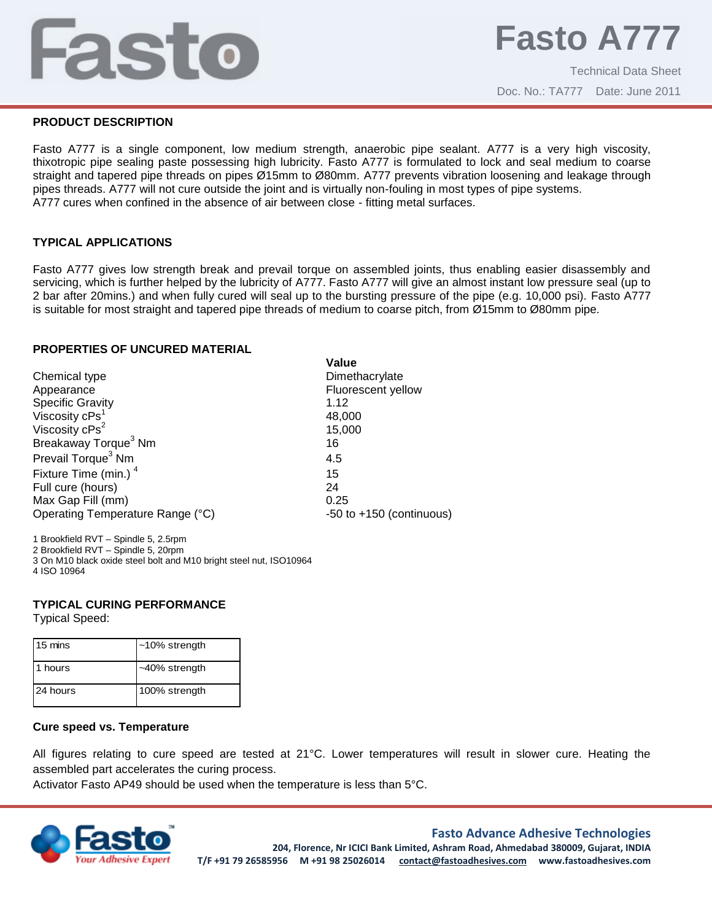# Fasto

Technical Data Sheet Doc. No.: TA777 Date: June 2011

# **PRODUCT DESCRIPTION**

Fasto A777 is a single component, low medium strength, anaerobic pipe sealant. A777 is a very high viscosity, thixotropic pipe sealing paste possessing high lubricity. Fasto A777 is formulated to lock and seal medium to coarse straight and tapered pipe threads on pipes Ø15mm to Ø80mm. A777 prevents vibration loosening and leakage through pipes threads. A777 will not cure outside the joint and is virtually non-fouling in most types of pipe systems. A777 cures when confined in the absence of air between close - fitting metal surfaces.

# **TYPICAL APPLICATIONS**

Fasto A777 gives low strength break and prevail torque on assembled joints, thus enabling easier disassembly and servicing, which is further helped by the lubricity of A777. Fasto A777 will give an almost instant low pressure seal (up to 2 bar after 20mins.) and when fully cured will seal up to the bursting pressure of the pipe (e.g. 10,000 psi). Fasto A777 is suitable for most straight and tapered pipe threads of medium to coarse pitch, from Ø15mm to Ø80mm pipe.

**Value**

## **PROPERTIES OF UNCURED MATERIAL**

|                                  | valuc                        |
|----------------------------------|------------------------------|
| Chemical type                    | Dimethacrylate               |
| Appearance                       | Fluorescent yellow           |
| <b>Specific Gravity</b>          | 1.12                         |
| Viscosity cPs <sup>1</sup>       | 48,000                       |
| Viscosity cPs <sup>2</sup>       | 15,000                       |
| Breakaway Torque <sup>3</sup> Nm | 16                           |
| Prevail Torque <sup>3</sup> Nm   | 4.5                          |
| Fixture Time (min.) <sup>4</sup> | 15                           |
| Full cure (hours)                | 24                           |
| Max Gap Fill (mm)                | 0.25                         |
| Operating Temperature Range (°C) | $-50$ to $+150$ (continuous) |
|                                  |                              |

1 Brookfield RVT – Spindle 5, 2.5rpm

2 Brookfield RVT – Spindle 5, 20rpm

3 On M10 black oxide steel bolt and M10 bright steel nut, ISO10964 4 ISO 10964

#### **TYPICAL CURING PERFORMANCE**

Typical Speed:

| 15 mins  | $~10\%$ strength |
|----------|------------------|
| 1 hours  | ~40% strength    |
| 24 hours | 100% strength    |

#### **Cure speed vs. Temperature**

All figures relating to cure speed are tested at 21°C. Lower temperatures will result in slower cure. Heating the assembled part accelerates the curing process.

Activator Fasto AP49 should be used when the temperature is less than 5°C.



# **Fasto Advance Adhesive Technologies**

**204, Florence, Nr ICICI Bank Limited, Ashram Road, Ahmedabad 380009, Gujarat, INDIA T/F +91 79 26585956 M +91 98 25026014 contact@fastoadhesives.com www.fastoadhesives.com**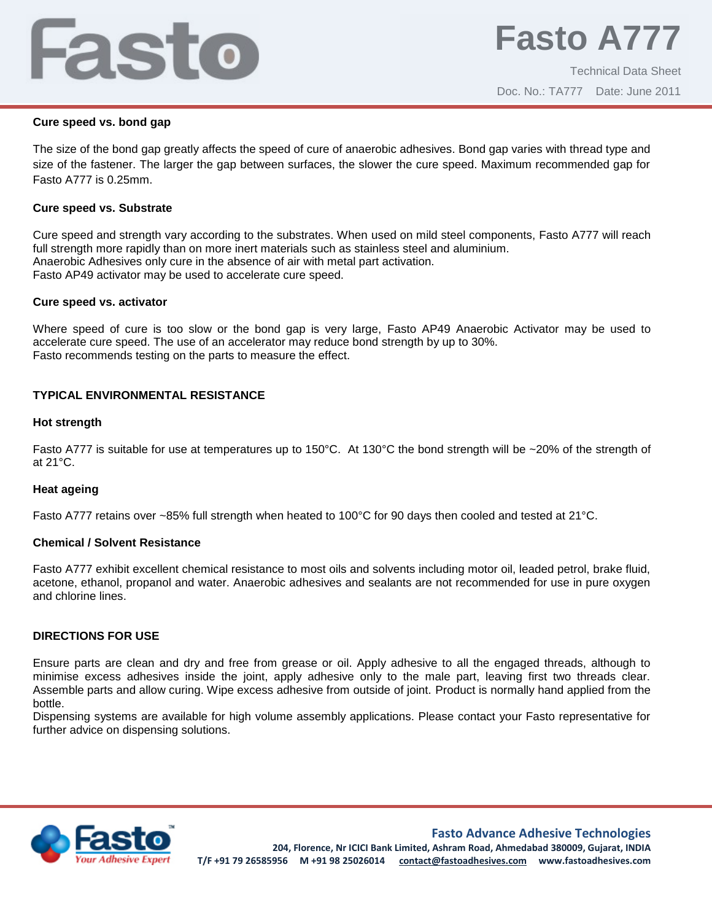# Fasto

#### **Cure speed vs. bond gap**

The size of the bond gap greatly affects the speed of cure of anaerobic adhesives. Bond gap varies with thread type and size of the fastener. The larger the gap between surfaces, the slower the cure speed. Maximum recommended gap for Fasto A777 is 0.25mm.

### **Cure speed vs. Substrate**

Cure speed and strength vary according to the substrates. When used on mild steel components, Fasto A777 will reach full strength more rapidly than on more inert materials such as stainless steel and aluminium. Anaerobic Adhesives only cure in the absence of air with metal part activation. Fasto AP49 activator may be used to accelerate cure speed.

#### **Cure speed vs. activator**

Where speed of cure is too slow or the bond gap is very large, Fasto AP49 Anaerobic Activator may be used to accelerate cure speed. The use of an accelerator may reduce bond strength by up to 30%. Fasto recommends testing on the parts to measure the effect.

# **TYPICAL ENVIRONMENTAL RESISTANCE**

## **Hot strength**

Fasto A777 is suitable for use at temperatures up to 150°C. At 130°C the bond strength will be ~20% of the strength of at 21°C.

#### **Heat ageing**

Fasto A777 retains over ~85% full strength when heated to 100°C for 90 days then cooled and tested at 21°C.

#### **Chemical / Solvent Resistance**

Fasto A777 exhibit excellent chemical resistance to most oils and solvents including motor oil, leaded petrol, brake fluid, acetone, ethanol, propanol and water. Anaerobic adhesives and sealants are not recommended for use in pure oxygen and chlorine lines.

# **DIRECTIONS FOR USE**

Ensure parts are clean and dry and free from grease or oil. Apply adhesive to all the engaged threads, although to minimise excess adhesives inside the joint, apply adhesive only to the male part, leaving first two threads clear. Assemble parts and allow curing. Wipe excess adhesive from outside of joint. Product is normally hand applied from the bottle.

Dispensing systems are available for high volume assembly applications. Please contact your Fasto representative for further advice on dispensing solutions.



# **Fasto Advance Adhesive Technologies**

**204, Florence, Nr ICICI Bank Limited, Ashram Road, Ahmedabad 380009, Gujarat, INDIA T/F +91 79 26585956 M +91 98 25026014 contact@fastoadhesives.com www.fastoadhesives.com**